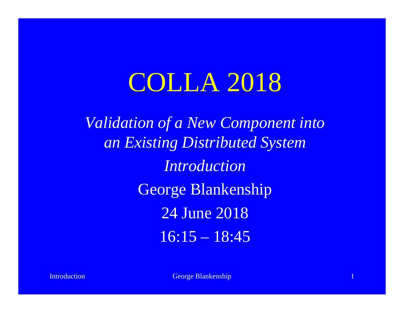## COLLA 2018

*Validation of a New Component into an Existing Distributed System Introduction* George Blankenship 24 June 2018  $16:15 - 18:45$ 

**Introduction** and the control of the George Blankenship 1 and 1 and 1 and 1 and 1 and 1 and 1 and 1 and 1 and 1 and 1 and 1 and 1 and 1 and 1 and 1 and 1 and 1 and 1 and 1 and 1 and 1 and 1 and 1 and 1 and 1 and 1 and 1 a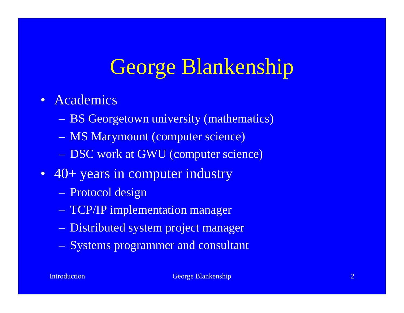## George Blankenship

#### • Academics

- BS Georgetown university (mathematics)
- MS Marymount (computer science)
- DSC work at GWU (computer science)
- 40+ years in computer industry
	- Protocol design
	- TCP/IP implementation manager
	- Distributed system project manager
	- Systems programmer and consultant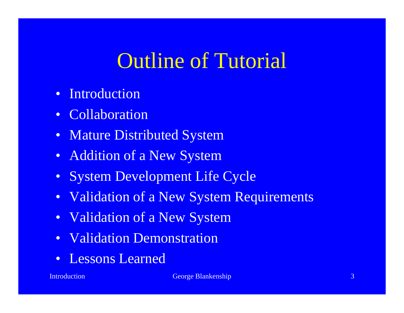#### Outline of Tutorial

- Introduction
- Collaboration
- Mature Distributed System
- Addition of a New System
- System Development Life Cycle
- Validation of a New System Requirements
- Validation of a New System
- Validation Demonstration
- Lessons Learned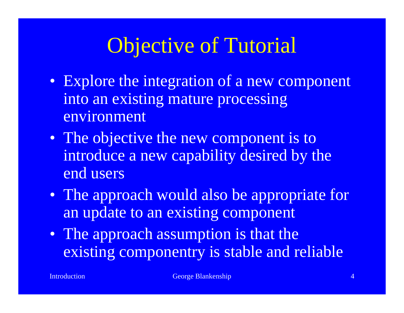### Objective of Tutorial

- Explore the integration of a new component into an existing mature processing environment
- The objective the new component is to introduce a new capability desired by the end users
- The approach would also be appropriate for an update to an existing component
- The approach assumption is that the existing componentry is stable and reliable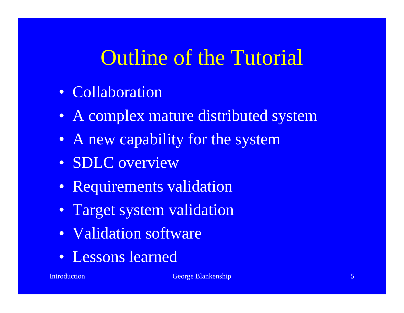#### Outline of the Tutorial

- Collaboration
- A complex mature distributed system
- A new capability for the system
- SDLC overview
- Requirements validation
- Target system validation
- Validation software
- Lessons learned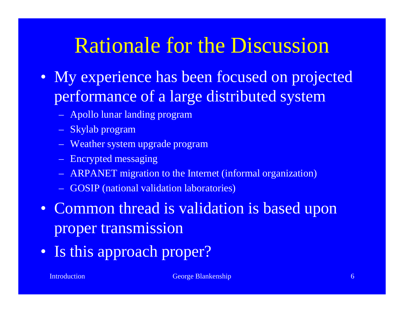#### Rationale for the Discussion

- My experience has been focused on projected performance of a large distributed system
	- Apollo lunar landing program
	- Skylab program
	- Weather system upgrade program
	- Encrypted messaging
	- ARPANET migration to the Internet (informal organization)
	- GOSIP (national validation laboratories)
- Common thread is validation is based upon proper transmission
- Is this approach proper?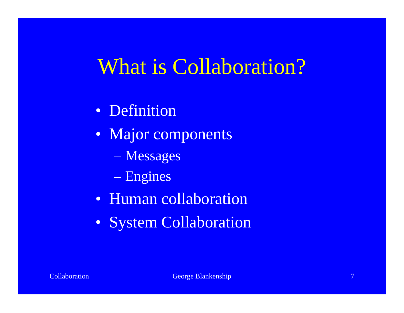#### What is Collaboration?

- Definition
- Major components
	- Messages
	- Engines
- Human collaboration
- System Collaboration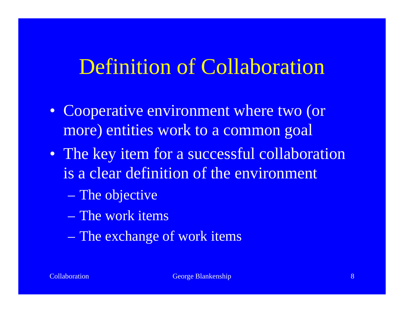#### Definition of Collaboration

- Cooperative environment where two (or more) entities work to a common goal
- The key item for a successful collaboration is a clear definition of the environment
	- The objective
	- The work items
	- The exchange of work items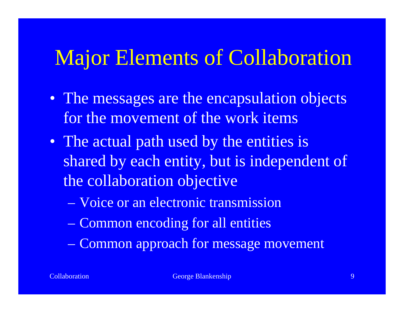#### Major Elements of Collaboration

- The messages are the encapsulation objects for the movement of the work items
- The actual path used by the entities is shared by each entity, but is independent of the collaboration objective
	- Voice or an electronic transmission
	- Common encoding for all entities
	- Common approach for message movement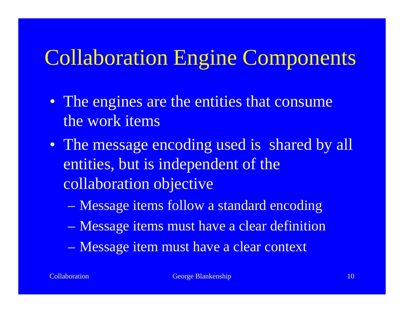## Collaboration Engine Components

- The engines are the entities that consume the work items
- The message encoding used is shared by all entities, but is independent of the collaboration objective
	- Message items follow a standard encoding
	- Message items must have a clear definition
	- Message item must have a clear context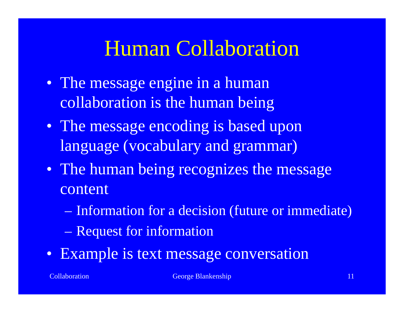#### Human Collaboration

- The message engine in a human collaboration is the human being
- The message encoding is based upon language (vocabulary and grammar)
- The human being recognizes the message content
	- Information for a decision (future or immediate)
	- Request for information
- Example is text message conversation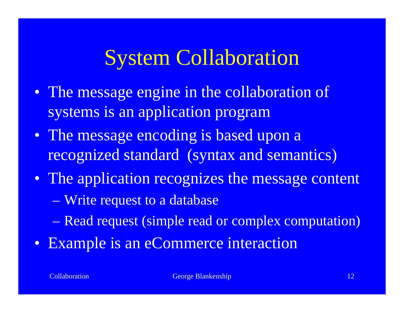#### System Collaboration

- The message engine in the collaboration of systems is an application program
- The message encoding is based upon a recognized standard (syntax and semantics)
- The application recognizes the message content
	- Write request to a database
	- Read request (simple read or complex computation)
- Example is an eCommerce interaction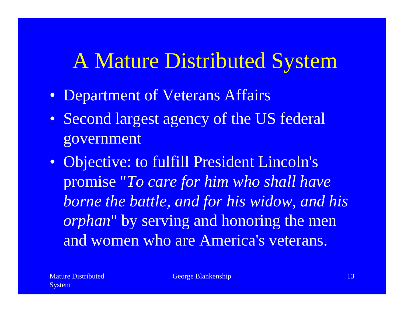#### A Mature Distributed System

- Department of Veterans Affairs
- Second largest agency of the US federal government
- Objective: to fulfill President Lincoln's promise "*To care for him who shall have borne the battle, and for his widow, and his orphan*" by serving and honoring the men and women who are America's veterans.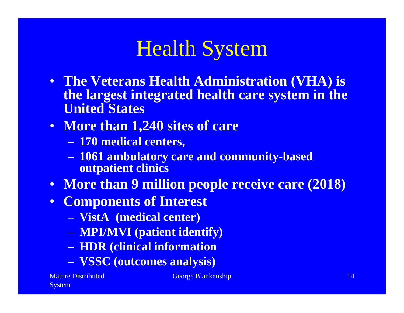#### Health System

- **The Veterans Health Administration (VHA) is the largest integrated health care system in the United States**
- **More than 1,240 sites of care**
	- **170 medical centers,**
	- **1061 ambulatory care and community-based outpatient clinics**
- **More than 9 million people receive care (2018)**
- **Components of Interest**
	- **VistA (medical center)**
	- **MPI/MVI (patient identify)**
	- **HDR (clinical information**
	- **VSSC (outcomes analysis)**

Mature Distributed System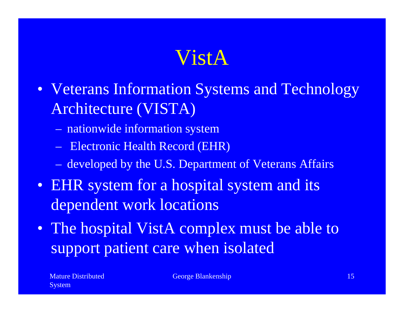#### VistA

- Veterans Information Systems and Technology Architecture (VISTA)
	- nationwide information system
	- Electronic Health Record (EHR)
	- developed by the U.S. Department of Veterans Affairs
- EHR system for a hospital system and its dependent work locations
- The hospital VistA complex must be able to support patient care when isolated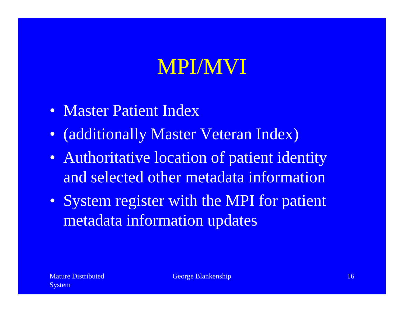## MPI/MVI

- Master Patient Index
- (additionally Master Veteran Index)
- Authoritative location of patient identity and selected other metadata information
- System register with the MPI for patient metadata information updates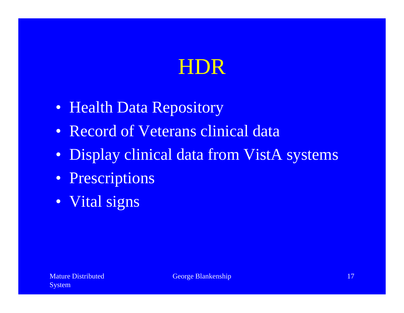### HDR

- Health Data Repository
- Record of Veterans clinical data
- Display clinical data from VistA systems
- Prescriptions
- Vital signs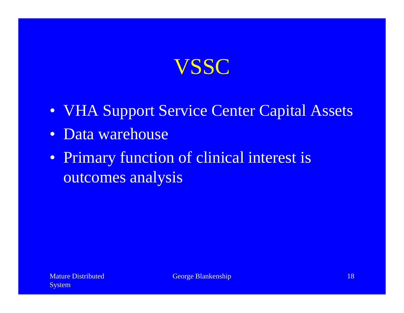## VSSC

- VHA Support Service Center Capital Assets
- Data warehouse
- Primary function of clinical interest is outcomes analysis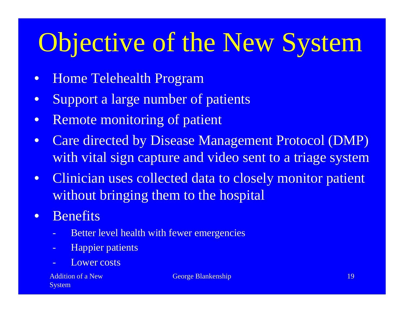## Objective of the New System

- Home Telehealth Program
- Support a large number of patients
- Remote monitoring of patient
- Care directed by Disease Management Protocol (DMP) with vital sign capture and video sent to a triage system
- Clinician uses collected data to closely monitor patient without bringing them to the hospital
- Benefits
	- Better level health with fewer emergencies
	- **Happier patients**
	- Lower costs

Addition of a New System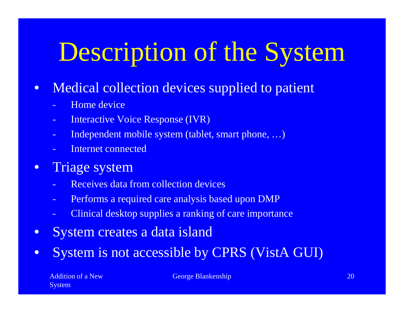## Description of the System

- Medical collection devices supplied to patient
	- Home device
	- Interactive Voice Response (IVR)
	- Independent mobile system (tablet, smart phone, ...)
	- Internet connected
- Triage system
	- Receives data from collection devices
	- Performs a required care analysis based upon DMP
	- Clinical desktop supplies a ranking of care importance
- System creates a data island
- System is not accessible by CPRS (VistA GUI)

Addition of a New **System**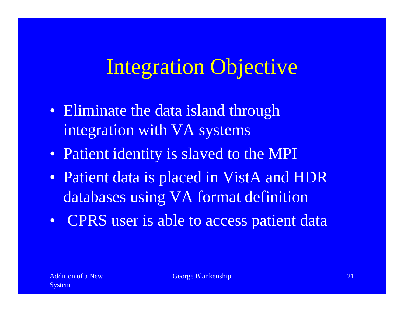### Integration Objective

- Eliminate the data island through integration with VA systems
- Patient identity is slaved to the MPI
- Patient data is placed in VistA and HDR databases using VA format definition
- CPRS user is able to access patient data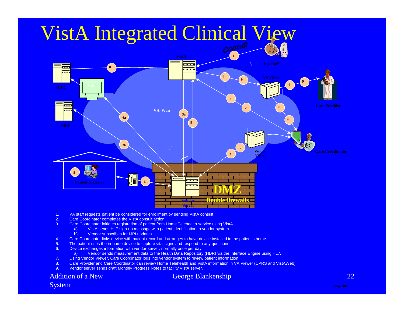

- 1. VA staff requests patient be considered for enrollment by sending VistA consult.
- 2. Care Coordinator completes the VistA consult action:<br>3. Care Coordinator initiates registration of patient from h
- Care Coordinator initiates registration of patient from Home Telehealth service using VistA
	- a) VistA sends HL7 sign-up message with patient identification to vendor system.
	- b) Vendor subscribes for MPI updates.
- 4. Care Coordinator links device with patient record and arranges to have device installed in the patient's home.
- 5. The patient uses the in-home device to capture vital signs and respond to any questions
- 6. Device exchanges information with vendor server, normally once per day
- a) Vendor sends measurement data to the Health Data Repository (HDR) via the Interface Engine using HL7.
- 7. Using Vendor Viewer, Care Coordinator logs into vendor system to review patient information.
- 8. Care Provider and Care Coordinator can review Home Telehealth and VistA information in VA Viewer (CPRS and VistAWeb).
- 9. Vendor server sends draft Monthly Progress Notes to facility VistA server.

#### Addition of a New System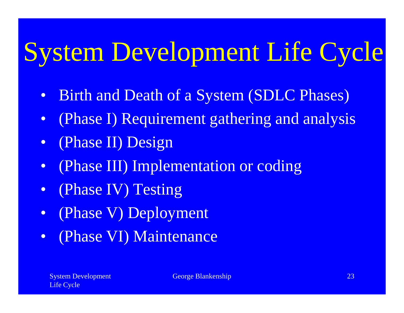# System Development Life Cycle

- Birth and Death of a System (SDLC Phases)
- (Phase I) Requirement gathering and analysis
- (Phase II) Design
- (Phase III) Implementation or coding
- (Phase IV) Testing
- (Phase V) Deployment
- (Phase VI) Maintenance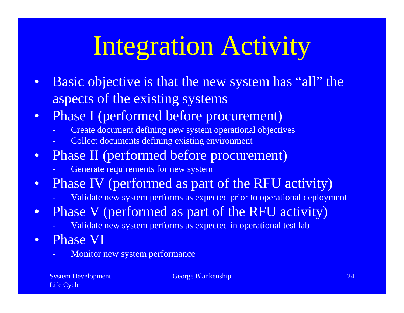# Integration Activity

- Basic objective is that the new system has "all" the aspects of the existing systems
- Phase I (performed before procurement)
	- Create document defining new system operational objectives
	- Collect documents defining existing environment
- Phase II (performed before procurement)
	- Generate requirements for new system
- Phase IV (performed as part of the RFU activity)
	- Validate new system performs as expected prior to operational deployment
- Phase V (performed as part of the RFU activity)
	- Validate new system performs as expected in operational test lab
- Phase VI
	- Monitor new system performance

System Development Life Cycle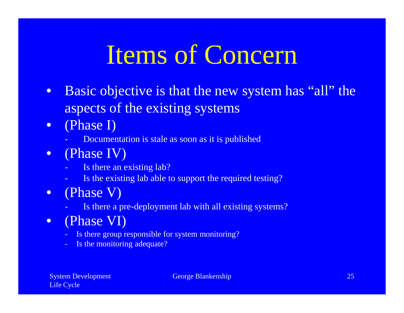## Items of Concern

- Basic objective is that the new system has "all" the aspects of the existing systems
- (Phase I)
	- Documentation is stale as soon as it is published
- (Phase IV)
	- Is there an existing lab?
	- Is the existing lab able to support the required testing?
- (Phase V)
	- Is there a pre-deployment lab with all existing systems?
- (Phase VI)
	- Is there group responsible for system monitoring?
	- Is the monitoring adequate?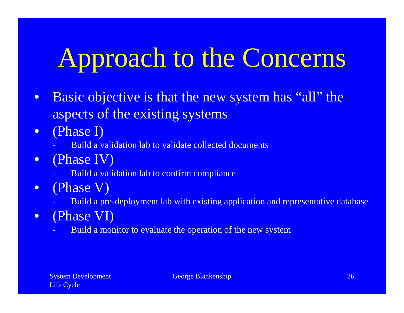# Approach to the Concerns

- Basic objective is that the new system has "all" the aspects of the existing systems
- (Phase I)
	- Build a validation lab to validate collected documents
- (Phase IV)
	- Build a validation lab to confirm compliance
- (Phase V)
	- Build a pre-deployment lab with existing application and representative database
- (Phase VI)
	- Build a monitor to evaluate the operation of the new system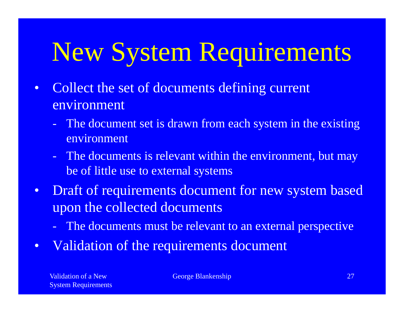## New System Requirements

- Collect the set of documents defining current environment
	- The document set is drawn from each system in the existing environment
	- The documents is relevant within the environment, but may be of little use to external systems
- Draft of requirements document for new system based upon the collected documents
	- The documents must be relevant to an external perspective
- Validation of the requirements document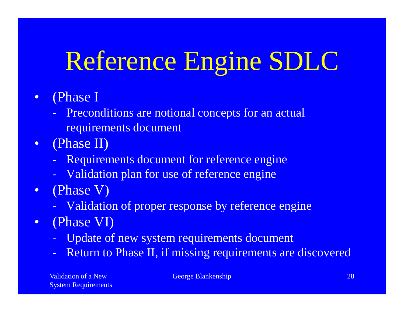## Reference Engine SDLC

#### • (Phase I

- Preconditions are notional concepts for an actual requirements document
- (Phase II)
	- Requirements document for reference engine
	- Validation plan for use of reference engine
- (Phase V)
	- Validation of proper response by reference engine
- (Phase VI)
	- Update of new system requirements document
	- Return to Phase II, if missing requirements are discovered

Validation of a New System Requirements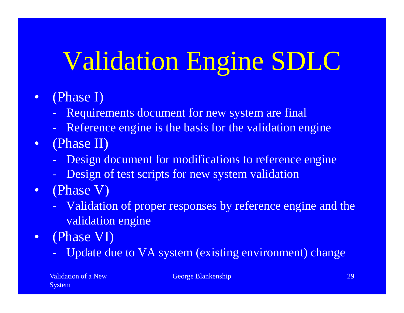## Validation Engine SDLC

- (Phase I)
	- Requirements document for new system are final
	- Reference engine is the basis for the validation engine
- (Phase II)
	- Design document for modifications to reference engine
	- Design of test scripts for new system validation
- (Phase V)
	- Validation of proper responses by reference engine and the validation engine
- (Phase VI)
	- Update due to VA system (existing environment) change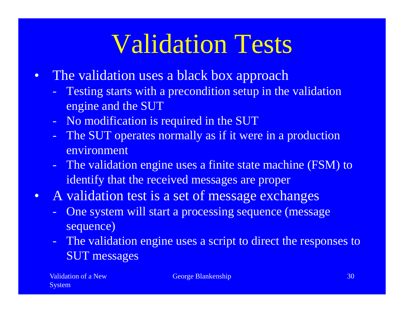## Validation Tests

- The validation uses a black box approach
	- Testing starts with a precondition setup in the validation engine and the SUT
	- No modification is required in the SUT
	- The SUT operates normally as if it were in a production environment
	- The validation engine uses a finite state machine (FSM) to identify that the received messages are proper
- A validation test is a set of message exchanges
	- One system will start a processing sequence (message sequence)
	- The validation engine uses a script to direct the responses to SUT messages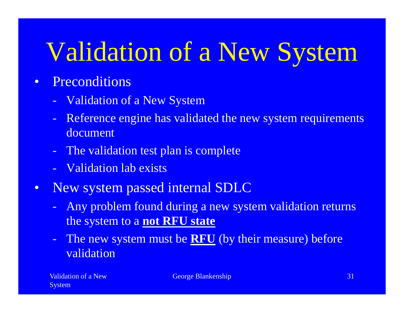## Validation of a New System

#### • Preconditions

- Validation of a New System
- Reference engine has validated the new system requirements document
- The validation test plan is complete
- Validation lab exists
- New system passed internal SDLC
	- Any problem found during a new system validation returns the system to a **not RFU state**
	- The new system must be **RFU** (by their measure) before validation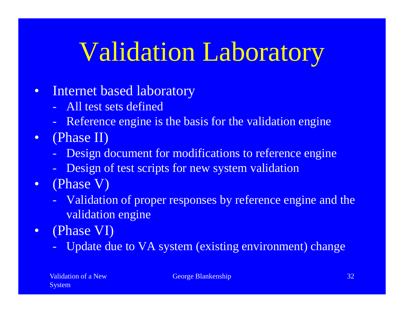## Validation Laboratory

- Internet based laboratory
	- All test sets defined
	- Reference engine is the basis for the validation engine
- (Phase II)
	- Design document for modifications to reference engine
	- Design of test scripts for new system validation
- (Phase V)
	- Validation of proper responses by reference engine and the validation engine
- (Phase VI)
	- Update due to VA system (existing environment) change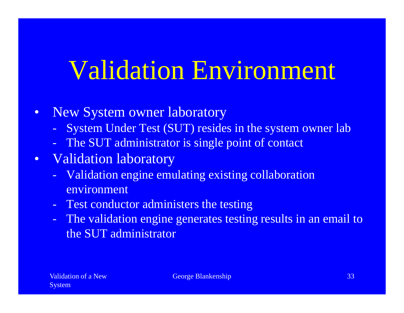## Validation Environment

- New System owner laboratory
	- System Under Test (SUT) resides in the system owner lab
	- The SUT administrator is single point of contact
- Validation laboratory
	- Validation engine emulating existing collaboration environment
	- Test conductor administers the testing
	- The validation engine generates testing results in an email to the SUT administrator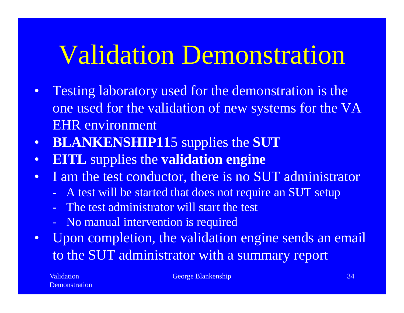## Validation Demonstration

- Testing laboratory used for the demonstration is the one used for the validation of new systems for the VA EHR environment
- **BLANKENSHIP11**5 supplies the **SUT**
- **EITL** supplies the **validation engine**
- I am the test conductor, there is no SUT administrator
	- A test will be started that does not require an SUT setup
	- The test administrator will start the test
	- No manual intervention is required
- Upon completion, the validation engine sends an email to the SUT administrator with a summary report

**Validation Demonstration**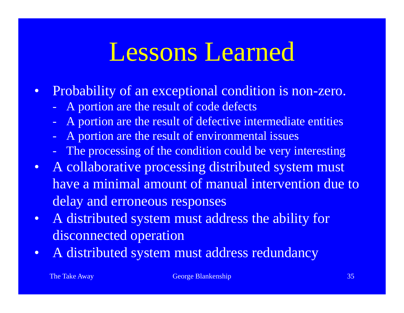## Lessons Learned

- Probability of an exceptional condition is non-zero.
	- A portion are the result of code defects
	- A portion are the result of defective intermediate entities
	- A portion are the result of environmental issues
	- The processing of the condition could be very interesting
- A collaborative processing distributed system must have a minimal amount of manual intervention due to delay and erroneous responses
- A distributed system must address the ability for disconnected operation
- A distributed system must address redundancy